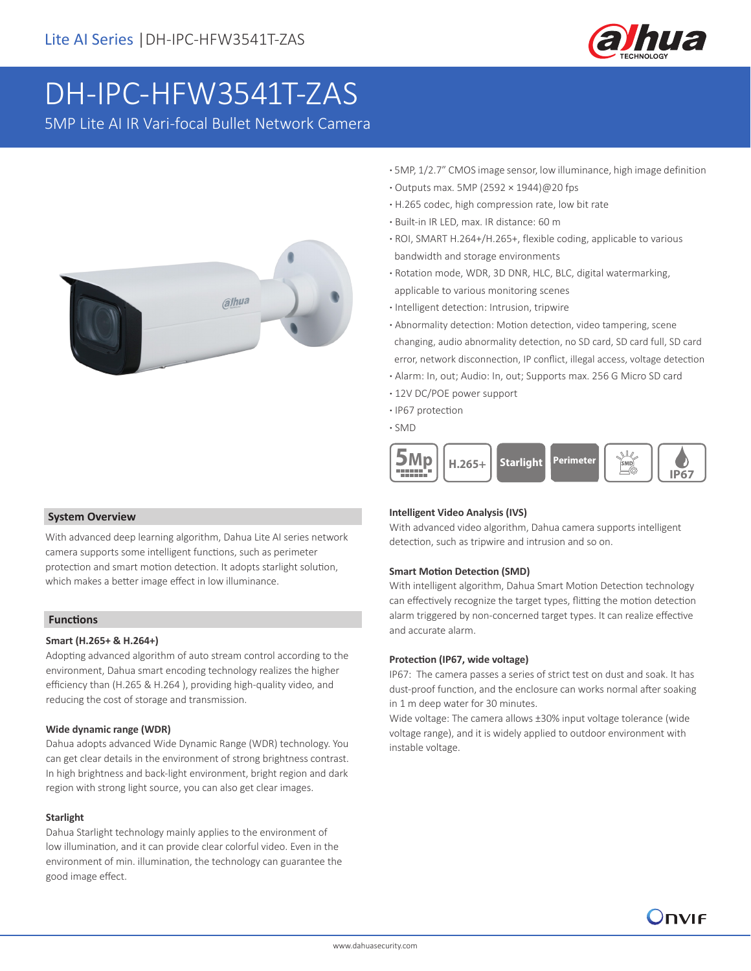

# DH-IPC-HFW3541T-ZAS

5MP Lite AI IR Vari-focal Bullet Network Camera



- **·** 5MP, 1/2.7" CMOS image sensor, low illuminance, high image definition
- **·** Outputs max. 5MP (2592 × 1944)@20 fps
- **·** H.265 codec, high compression rate, low bit rate
- **·** Built-in IR LED, max. IR distance: 60 m
- **·** ROI, SMART H.264+/H.265+, flexible coding, applicable to various bandwidth and storage environments
- **·** Rotation mode, WDR, 3D DNR, HLC, BLC, digital watermarking, applicable to various monitoring scenes
- **·** Intelligent detection: Intrusion, tripwire
- **·** Abnormality detection: Motion detection, video tampering, scene changing, audio abnormality detection, no SD card, SD card full, SD card error, network disconnection, IP conflict, illegal access, voltage detection
- **·** Alarm: In, out; Audio: In, out; Supports max. 256 G Micro SD card
- **·** 12V DC/POE power support
- **·** IP67 protection
- **·** SMD



### **System Overview**

With advanced deep learning algorithm, Dahua Lite AI series network camera supports some intelligent functions, such as perimeter protection and smart motion detection. It adopts starlight solution, which makes a better image effect in low illuminance.

### **Functions**

### **Smart (H.265+ & H.264+)**

Adopting advanced algorithm of auto stream control according to the environment, Dahua smart encoding technology realizes the higher efficiency than (H.265 & H.264 ), providing high-quality video, and reducing the cost of storage and transmission.

### **Wide dynamic range (WDR)**

Dahua adopts advanced Wide Dynamic Range (WDR) technology. You can get clear details in the environment of strong brightness contrast. In high brightness and back-light environment, bright region and dark region with strong light source, you can also get clear images.

#### **Starlight**

Dahua Starlight technology mainly applies to the environment of low illumination, and it can provide clear colorful video. Even in the environment of min. illumination, the technology can guarantee the good image effect.

#### **Intelligent Video Analysis (IVS)**

With advanced video algorithm, Dahua camera supports intelligent detection, such as tripwire and intrusion and so on.

### **Smart Motion Detection (SMD)**

With intelligent algorithm, Dahua Smart Motion Detection technology can effectively recognize the target types, flitting the motion detection alarm triggered by non-concerned target types. It can realize effective and accurate alarm.

#### **Protection (IP67, wide voltage)**

IP67: The camera passes a series of strict test on dust and soak. It has dust-proof function, and the enclosure can works normal after soaking in 1 m deep water for 30 minutes.

Wide voltage: The camera allows ±30% input voltage tolerance (wide voltage range), and it is widely applied to outdoor environment with instable voltage.

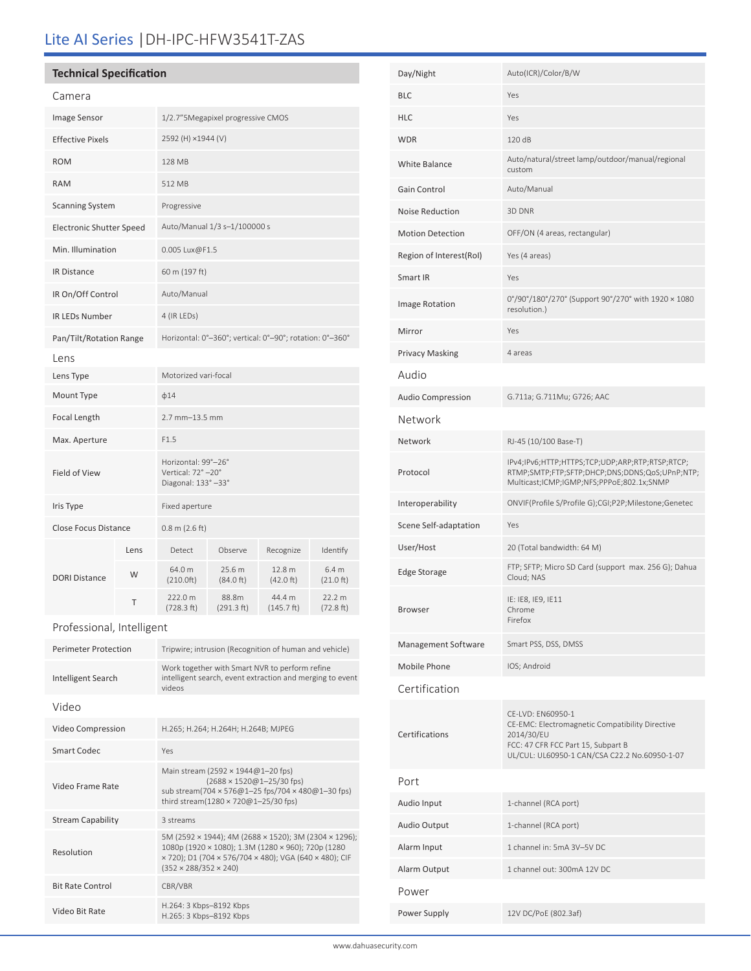# Lite AI Series |DH-IPC-HFW3541T-ZAS

# **Technical Specification**

| Camera                          |      |                                                                 |                     |                      |                               |
|---------------------------------|------|-----------------------------------------------------------------|---------------------|----------------------|-------------------------------|
| Image Sensor                    |      | 1/2.7" 5Megapixel progressive CMOS                              |                     |                      |                               |
| <b>Effective Pixels</b>         |      | 2592 (H) ×1944 (V)                                              |                     |                      |                               |
| <b>ROM</b>                      |      | 128 MB                                                          |                     |                      |                               |
| <b>RAM</b>                      |      | 512 MB                                                          |                     |                      |                               |
| <b>Scanning System</b>          |      | Progressive                                                     |                     |                      |                               |
| <b>Electronic Shutter Speed</b> |      | Auto/Manual 1/3 s-1/100000 s                                    |                     |                      |                               |
| Min. Illumination               |      | 0.005 Lux@F1.5                                                  |                     |                      |                               |
| <b>IR Distance</b>              |      | 60 m (197 ft)                                                   |                     |                      |                               |
| IR On/Off Control               |      | Auto/Manual                                                     |                     |                      |                               |
| <b>IR LEDs Number</b>           |      | 4 (IR LEDs)                                                     |                     |                      |                               |
| Pan/Tilt/Rotation Range         |      | Horizontal: 0°-360°; vertical: 0°-90°; rotation: 0°-360°        |                     |                      |                               |
| Lens                            |      |                                                                 |                     |                      |                               |
| Lens Type                       |      | Motorized vari-focal                                            |                     |                      |                               |
| Mount Type                      |      | $\phi$ 14                                                       |                     |                      |                               |
| Focal Length                    |      | $2.7$ mm $-13.5$ mm                                             |                     |                      |                               |
| Max. Aperture                   |      | F1.5                                                            |                     |                      |                               |
| Field of View                   |      | Horizontal: 99°-26°<br>Vertical: 72°-20°<br>Diagonal: 133° -33° |                     |                      |                               |
| Iris Type                       |      | Fixed aperture                                                  |                     |                      |                               |
| <b>Close Focus Distance</b>     |      | $0.8 \text{ m}$ (2.6 ft)                                        |                     |                      |                               |
| <b>DORI Distance</b>            | Lens | Detect                                                          | Observe             | Recognize            | Identify                      |
|                                 | W    | 64.0 m<br>(210.0ft)                                             | 25.6 m<br>(84.0 ft) | 12.8 m<br>(42.0 ft)  | 6.4 <sub>m</sub><br>(21.0 ft) |
|                                 | T    | 222.0 m<br>(728.3 ft)                                           | 88.8m<br>(291.3 ft) | 44.4 m<br>(145.7 ft) | 22.2 m<br>(72.8 ft)           |

# Professional, Intelligent

| <b>Perimeter Protection</b> | Tripwire; intrusion (Recognition of human and vehicle)                                                                                                                                                     |  |  |  |
|-----------------------------|------------------------------------------------------------------------------------------------------------------------------------------------------------------------------------------------------------|--|--|--|
| Intelligent Search          | Work together with Smart NVR to perform refine<br>intelligent search, event extraction and merging to event<br>videos                                                                                      |  |  |  |
| Video                       |                                                                                                                                                                                                            |  |  |  |
| Video Compression           | H.265; H.264; H.264H; H.264B; MJPEG                                                                                                                                                                        |  |  |  |
| Smart Codec                 | Yes                                                                                                                                                                                                        |  |  |  |
| Video Frame Rate            | Main stream (2592 × 1944@1-20 fps)<br>(2688 × 1520@1-25/30 fps)<br>sub stream(704 × 576@1-25 fps/704 × 480@1-30 fps)<br>third stream(1280 × 720@1-25/30 fps)                                               |  |  |  |
| <b>Stream Capability</b>    | 3 streams                                                                                                                                                                                                  |  |  |  |
| Resolution                  | 5M (2592 × 1944); 4M (2688 × 1520); 3M (2304 × 1296);<br>1080p (1920 × 1080); 1.3M (1280 × 960); 720p (1280<br>x 720); D1 (704 x 576/704 x 480); VGA (640 x 480); CIF<br>$(352 \times 288/352 \times 240)$ |  |  |  |
| <b>Bit Rate Control</b>     | CBR/VBR                                                                                                                                                                                                    |  |  |  |
| Video Bit Rate              | H.264: 3 Kbps-8192 Kbps<br>H.265: 3 Kbps-8192 Kbps                                                                                                                                                         |  |  |  |

| Day/Night                | Auto(ICR)/Color/B/W                                                                                                                                                       |  |  |  |
|--------------------------|---------------------------------------------------------------------------------------------------------------------------------------------------------------------------|--|--|--|
| <b>BLC</b>               | Yes                                                                                                                                                                       |  |  |  |
| <b>HLC</b>               | Yes                                                                                                                                                                       |  |  |  |
| <b>WDR</b>               | 120 dB                                                                                                                                                                    |  |  |  |
| White Balance            | Auto/natural/street lamp/outdoor/manual/regional<br>custom                                                                                                                |  |  |  |
| Gain Control             | Auto/Manual                                                                                                                                                               |  |  |  |
| Noise Reduction          | 3D DNR                                                                                                                                                                    |  |  |  |
| <b>Motion Detection</b>  | OFF/ON (4 areas, rectangular)                                                                                                                                             |  |  |  |
| Region of Interest(RoI)  | Yes (4 areas)                                                                                                                                                             |  |  |  |
| Smart IR                 | Yes                                                                                                                                                                       |  |  |  |
| Image Rotation           | 0°/90°/180°/270° (Support 90°/270° with 1920 × 1080<br>resolution.)                                                                                                       |  |  |  |
| Mirror                   | Yes                                                                                                                                                                       |  |  |  |
| <b>Privacy Masking</b>   | 4 areas                                                                                                                                                                   |  |  |  |
| Audio                    |                                                                                                                                                                           |  |  |  |
| <b>Audio Compression</b> | G.711a; G.711Mu; G726; AAC                                                                                                                                                |  |  |  |
| Network                  |                                                                                                                                                                           |  |  |  |
| Network                  | RJ-45 (10/100 Base-T)                                                                                                                                                     |  |  |  |
| Protocol                 | IPv4;IPv6;HTTP;HTTPS;TCP;UDP;ARP;RTP;RTSP;RTCP;<br>RTMP;SMTP;FTP;SFTP;DHCP;DNS;DDNS;QoS;UPnP;NTP;<br>Multicast;ICMP;IGMP;NFS;PPPoE;802.1x;SNMP                            |  |  |  |
|                          |                                                                                                                                                                           |  |  |  |
| Interoperability         | ONVIF(Profile S/Profile G);CGI;P2P;Milestone;Genetec                                                                                                                      |  |  |  |
| Scene Self-adaptation    | Yes                                                                                                                                                                       |  |  |  |
| User/Host                | 20 (Total bandwidth: 64 M)                                                                                                                                                |  |  |  |
| <b>Edge Storage</b>      | FTP; SFTP; Micro SD Card (support max. 256 G); Dahua<br>Cloud; NAS                                                                                                        |  |  |  |
| Browser                  | IE: IE8, IE9, IE11<br>Chrome<br>Firefox                                                                                                                                   |  |  |  |
| Management Software      | Smart PSS, DSS, DMSS                                                                                                                                                      |  |  |  |
| Mobile Phone             | IOS; Android                                                                                                                                                              |  |  |  |
| Certification            |                                                                                                                                                                           |  |  |  |
| Certifications           | CE-LVD: EN60950-1<br>CE-EMC: Electromagnetic Compatibility Directive<br>2014/30/EU<br>FCC: 47 CFR FCC Part 15, Subpart B<br>UL/CUL: UL60950-1 CAN/CSA C22.2 No.60950-1-07 |  |  |  |
| Port                     |                                                                                                                                                                           |  |  |  |
| Audio Input              | 1-channel (RCA port)                                                                                                                                                      |  |  |  |
| Audio Output             | 1-channel (RCA port)                                                                                                                                                      |  |  |  |
| Alarm Input              | 1 channel in: 5mA 3V-5V DC                                                                                                                                                |  |  |  |
| Alarm Output             | 1 channel out: 300mA 12V DC                                                                                                                                               |  |  |  |
| Power                    |                                                                                                                                                                           |  |  |  |